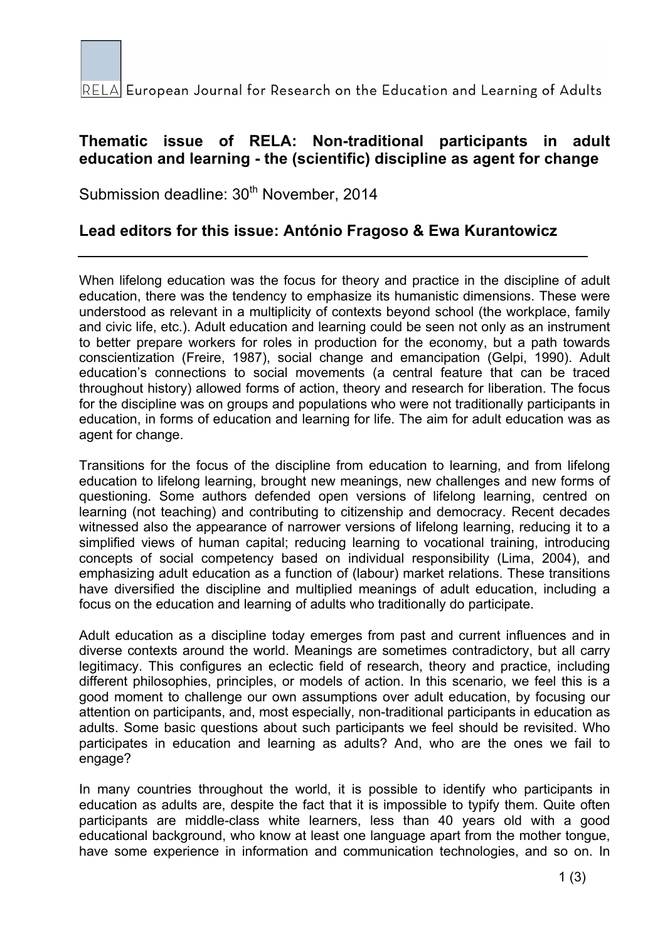

RELA European Journal for Research on the Education and Learning of Adults

## **Thematic issue of RELA: Non-traditional participants in adult education and learning - the (scientific) discipline as agent for change**

Submission deadline: 30<sup>th</sup> November, 2014

## **Lead editors for this issue: António Fragoso & Ewa Kurantowicz**

When lifelong education was the focus for theory and practice in the discipline of adult education, there was the tendency to emphasize its humanistic dimensions. These were understood as relevant in a multiplicity of contexts beyond school (the workplace, family and civic life, etc.). Adult education and learning could be seen not only as an instrument to better prepare workers for roles in production for the economy, but a path towards conscientization (Freire, 1987), social change and emancipation (Gelpi, 1990). Adult education's connections to social movements (a central feature that can be traced throughout history) allowed forms of action, theory and research for liberation. The focus for the discipline was on groups and populations who were not traditionally participants in education, in forms of education and learning for life. The aim for adult education was as agent for change.

Transitions for the focus of the discipline from education to learning, and from lifelong education to lifelong learning, brought new meanings, new challenges and new forms of questioning. Some authors defended open versions of lifelong learning, centred on learning (not teaching) and contributing to citizenship and democracy. Recent decades witnessed also the appearance of narrower versions of lifelong learning, reducing it to a simplified views of human capital; reducing learning to vocational training, introducing concepts of social competency based on individual responsibility (Lima, 2004), and emphasizing adult education as a function of (labour) market relations. These transitions have diversified the discipline and multiplied meanings of adult education, including a focus on the education and learning of adults who traditionally do participate.

Adult education as a discipline today emerges from past and current influences and in diverse contexts around the world. Meanings are sometimes contradictory, but all carry legitimacy. This configures an eclectic field of research, theory and practice, including different philosophies, principles, or models of action. In this scenario, we feel this is a good moment to challenge our own assumptions over adult education, by focusing our attention on participants, and, most especially, non-traditional participants in education as adults. Some basic questions about such participants we feel should be revisited. Who participates in education and learning as adults? And, who are the ones we fail to engage?

In many countries throughout the world, it is possible to identify who participants in education as adults are, despite the fact that it is impossible to typify them. Quite often participants are middle-class white learners, less than 40 years old with a good educational background, who know at least one language apart from the mother tongue, have some experience in information and communication technologies, and so on. In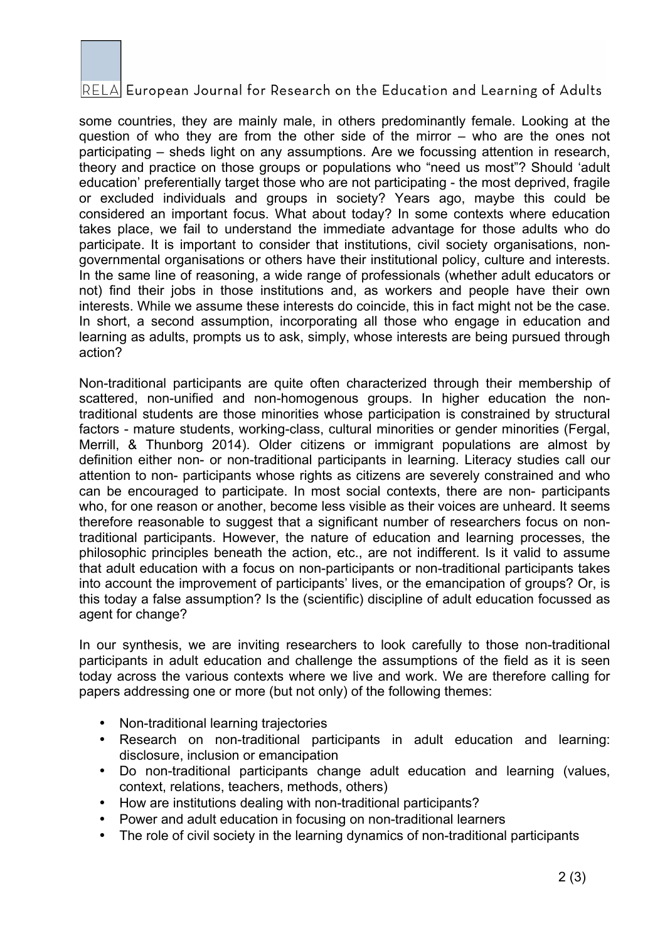

## RELA European Journal for Research on the Education and Learning of Adults

some countries, they are mainly male, in others predominantly female. Looking at the question of who they are from the other side of the mirror – who are the ones not participating – sheds light on any assumptions. Are we focussing attention in research, theory and practice on those groups or populations who "need us most"? Should 'adult education' preferentially target those who are not participating - the most deprived, fragile or excluded individuals and groups in society? Years ago, maybe this could be considered an important focus. What about today? In some contexts where education takes place, we fail to understand the immediate advantage for those adults who do participate. It is important to consider that institutions, civil society organisations, nongovernmental organisations or others have their institutional policy, culture and interests. In the same line of reasoning, a wide range of professionals (whether adult educators or not) find their jobs in those institutions and, as workers and people have their own interests. While we assume these interests do coincide, this in fact might not be the case. In short, a second assumption, incorporating all those who engage in education and learning as adults, prompts us to ask, simply, whose interests are being pursued through action?

Non-traditional participants are quite often characterized through their membership of scattered, non-unified and non-homogenous groups. In higher education the nontraditional students are those minorities whose participation is constrained by structural factors - mature students, working-class, cultural minorities or gender minorities (Fergal, Merrill, & Thunborg 2014). Older citizens or immigrant populations are almost by definition either non- or non-traditional participants in learning. Literacy studies call our attention to non- participants whose rights as citizens are severely constrained and who can be encouraged to participate. In most social contexts, there are non- participants who, for one reason or another, become less visible as their voices are unheard. It seems therefore reasonable to suggest that a significant number of researchers focus on nontraditional participants. However, the nature of education and learning processes, the philosophic principles beneath the action, etc., are not indifferent. Is it valid to assume that adult education with a focus on non-participants or non-traditional participants takes into account the improvement of participants' lives, or the emancipation of groups? Or, is this today a false assumption? Is the (scientific) discipline of adult education focussed as agent for change?

In our synthesis, we are inviting researchers to look carefully to those non-traditional participants in adult education and challenge the assumptions of the field as it is seen today across the various contexts where we live and work. We are therefore calling for papers addressing one or more (but not only) of the following themes:

- Non-traditional learning trajectories
- Research on non-traditional participants in adult education and learning: disclosure, inclusion or emancipation
- Do non-traditional participants change adult education and learning (values, context, relations, teachers, methods, others)
- How are institutions dealing with non-traditional participants?
- Power and adult education in focusing on non-traditional learners
- The role of civil society in the learning dynamics of non-traditional participants